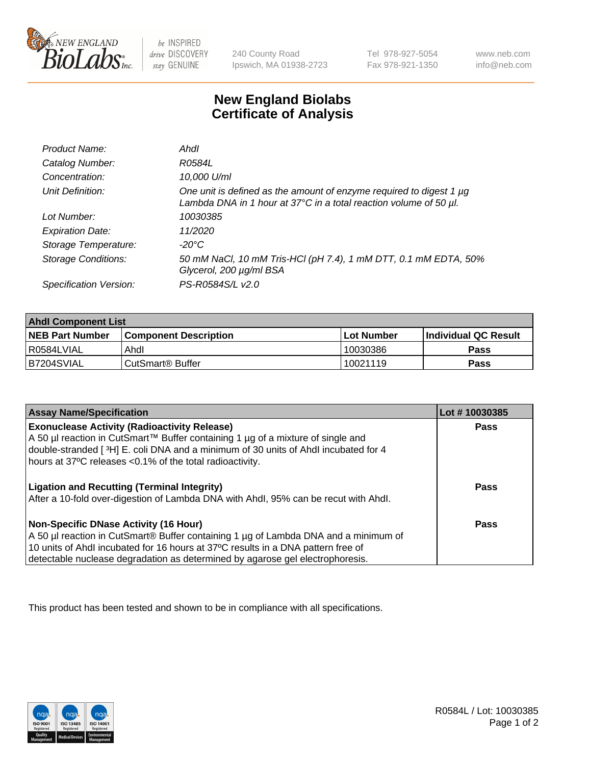

be INSPIRED drive DISCOVERY stay GENUINE

240 County Road Ipswich, MA 01938-2723 Tel 978-927-5054 Fax 978-921-1350

www.neb.com info@neb.com

## **New England Biolabs Certificate of Analysis**

| Product Name:              | Ahdl                                                                                                                                     |
|----------------------------|------------------------------------------------------------------------------------------------------------------------------------------|
| Catalog Number:            | R0584L                                                                                                                                   |
| Concentration:             | 10,000 U/ml                                                                                                                              |
| Unit Definition:           | One unit is defined as the amount of enzyme required to digest 1 µg<br>Lambda DNA in 1 hour at 37°C in a total reaction volume of 50 µl. |
| Lot Number:                | 10030385                                                                                                                                 |
| <b>Expiration Date:</b>    | 11/2020                                                                                                                                  |
| Storage Temperature:       | -20°C                                                                                                                                    |
| <b>Storage Conditions:</b> | 50 mM NaCl, 10 mM Tris-HCl (pH 7.4), 1 mM DTT, 0.1 mM EDTA, 50%<br>Glycerol, 200 µg/ml BSA                                               |
| Specification Version:     | PS-R0584S/L v2.0                                                                                                                         |

| <b>Ahdl Component List</b> |                              |              |                             |  |
|----------------------------|------------------------------|--------------|-----------------------------|--|
| <b>NEB Part Number</b>     | <b>Component Description</b> | l Lot Number | <b>Individual QC Result</b> |  |
| I R0584LVIAL               | Ahdl                         | 10030386     | Pass                        |  |
| B7204SVIAL                 | l CutSmart® Buffer           | 10021119     | Pass                        |  |

| <b>Assay Name/Specification</b>                                                     | Lot #10030385 |
|-------------------------------------------------------------------------------------|---------------|
| <b>Exonuclease Activity (Radioactivity Release)</b>                                 | <b>Pass</b>   |
| A 50 µl reaction in CutSmart™ Buffer containing 1 µg of a mixture of single and     |               |
| double-stranded [3H] E. coli DNA and a minimum of 30 units of Ahdl incubated for 4  |               |
| hours at 37°C releases <0.1% of the total radioactivity.                            |               |
| <b>Ligation and Recutting (Terminal Integrity)</b>                                  | <b>Pass</b>   |
| After a 10-fold over-digestion of Lambda DNA with Ahdl, 95% can be recut with Ahdl. |               |
| Non-Specific DNase Activity (16 Hour)                                               | <b>Pass</b>   |
| A 50 µl reaction in CutSmart® Buffer containing 1 µg of Lambda DNA and a minimum of |               |
| 10 units of Ahdl incubated for 16 hours at 37°C results in a DNA pattern free of    |               |
| detectable nuclease degradation as determined by agarose gel electrophoresis.       |               |

This product has been tested and shown to be in compliance with all specifications.